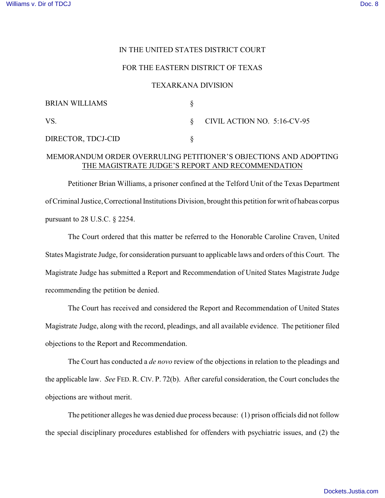## IN THE UNITED STATES DISTRICT COURT

## FOR THE EASTERN DISTRICT OF TEXAS

### TEXARKANA DIVISION

| <b>BRIAN WILLIAMS</b> |                                  |
|-----------------------|----------------------------------|
| VS.                   | $\S$ CIVIL ACTION NO. 5:16-CV-95 |
| DIRECTOR, TDCJ-CID    |                                  |

# MEMORANDUM ORDER OVERRULING PETITIONER'S OBJECTIONS AND ADOPTING THE MAGISTRATE JUDGE'S REPORT AND RECOMMENDATION

Petitioner Brian Williams, a prisoner confined at the Telford Unit of the Texas Department of Criminal Justice, Correctional Institutions Division, brought this petition for writ of habeas corpus pursuant to 28 U.S.C. § 2254.

The Court ordered that this matter be referred to the Honorable Caroline Craven, United States Magistrate Judge, for consideration pursuant to applicable laws and orders of this Court. The Magistrate Judge has submitted a Report and Recommendation of United States Magistrate Judge recommending the petition be denied.

The Court has received and considered the Report and Recommendation of United States Magistrate Judge, along with the record, pleadings, and all available evidence. The petitioner filed objections to the Report and Recommendation.

The Court has conducted a *de novo* review of the objections in relation to the pleadings and the applicable law. *See* FED. R. CIV. P. 72(b). After careful consideration, the Court concludes the objections are without merit.

The petitioner alleges he was denied due process because: (1) prison officials did not follow the special disciplinary procedures established for offenders with psychiatric issues, and (2) the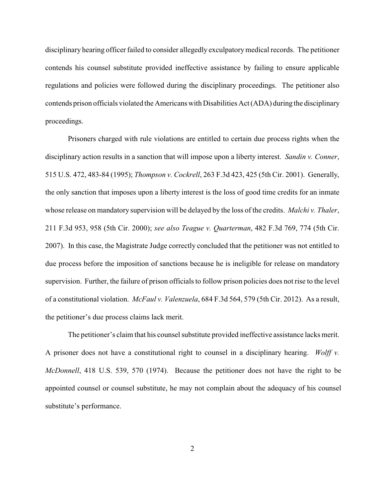disciplinary hearing officer failed to consider allegedly exculpatory medical records. The petitioner contends his counsel substitute provided ineffective assistance by failing to ensure applicable regulations and policies were followed during the disciplinary proceedings. The petitioner also contends prison officials violated the Americans with Disabilities Act (ADA) during the disciplinary proceedings.

Prisoners charged with rule violations are entitled to certain due process rights when the disciplinary action results in a sanction that will impose upon a liberty interest. *Sandin v. Conner*, 515 U.S. 472, 483-84 (1995); *Thompson v. Cockrell*, 263 F.3d 423, 425 (5th Cir. 2001). Generally, the only sanction that imposes upon a liberty interest is the loss of good time credits for an inmate whose release on mandatory supervision will be delayed by the loss of the credits. *Malchi v. Thaler*, 211 F.3d 953, 958 (5th Cir. 2000); *see also Teague v. Quarterman*, 482 F.3d 769, 774 (5th Cir. 2007). In this case, the Magistrate Judge correctly concluded that the petitioner was not entitled to due process before the imposition of sanctions because he is ineligible for release on mandatory supervision. Further, the failure of prison officials to follow prison policies does not rise to the level of a constitutional violation. *McFaul v. Valenzuela*, 684 F.3d 564, 579 (5th Cir. 2012). As a result, the petitioner's due process claims lack merit.

The petitioner's claim that his counsel substitute provided ineffective assistance lacks merit. A prisoner does not have a constitutional right to counsel in a disciplinary hearing. *Wolff v. McDonnell*, 418 U.S. 539, 570 (1974). Because the petitioner does not have the right to be appointed counsel or counsel substitute, he may not complain about the adequacy of his counsel substitute's performance.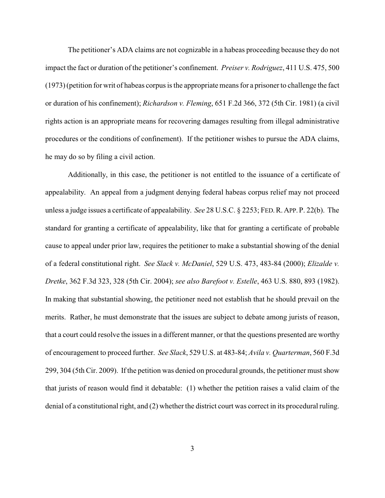The petitioner's ADA claims are not cognizable in a habeas proceeding because they do not impact the fact or duration of the petitioner's confinement. *Preiser v. Rodriguez*, 411 U.S. 475, 500 (1973) (petition for writ of habeas corpus is the appropriate means for a prisoner to challenge the fact or duration of his confinement); *Richardson v. Fleming*, 651 F.2d 366, 372 (5th Cir. 1981) (a civil rights action is an appropriate means for recovering damages resulting from illegal administrative procedures or the conditions of confinement). If the petitioner wishes to pursue the ADA claims, he may do so by filing a civil action.

 Additionally, in this case, the petitioner is not entitled to the issuance of a certificate of appealability. An appeal from a judgment denying federal habeas corpus relief may not proceed unless a judge issues a certificate of appealability. *See* 28 U.S.C. § 2253; FED.R.APP.P. 22(b). The standard for granting a certificate of appealability, like that for granting a certificate of probable cause to appeal under prior law, requires the petitioner to make a substantial showing of the denial of a federal constitutional right. *See Slack v. McDaniel*, 529 U.S. 473, 483-84 (2000); *Elizalde v. Dretke*, 362 F.3d 323, 328 (5th Cir. 2004); *see also Barefoot v. Estelle*, 463 U.S. 880, 893 (1982). In making that substantial showing, the petitioner need not establish that he should prevail on the merits. Rather, he must demonstrate that the issues are subject to debate among jurists of reason, that a court could resolve the issues in a different manner, or that the questions presented are worthy of encouragement to proceed further. *See Slack*, 529 U.S. at 483-84; *Avila v. Quarterman*, 560 F.3d 299, 304 (5th Cir. 2009). If the petition was denied on procedural grounds, the petitioner must show that jurists of reason would find it debatable: (1) whether the petition raises a valid claim of the denial of a constitutional right, and (2) whether the district court was correct in its procedural ruling.